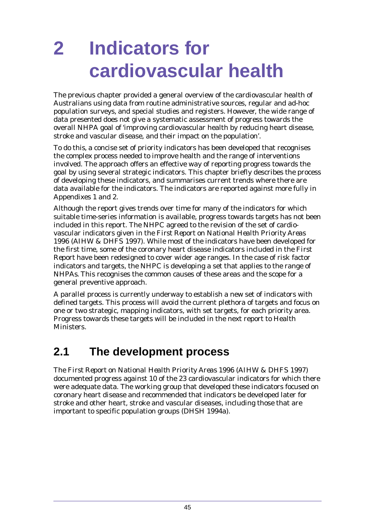# **2 Indicators for cardiovascular health**

The previous chapter provided a general overview of the cardiovascular health of Australians using data from routine administrative sources, regular and ad-hoc population surveys, and special studies and registers. However, the wide range of data presented does not give a systematic assessment of progress towards the overall NHPA goal of 'improving cardiovascular health by reducing heart disease, stroke and vascular disease, and their impact on the population'.

To do this, a concise set of priority indicators has been developed that recognises the complex process needed to improve health and the range of interventions involved. The approach offers an effective way of reporting progress towards the goal by using several strategic indicators. This chapter briefly describes the process of developing these indicators, and summarises current trends where there are data available for the indicators. The indicators are reported against more fully in Appendixes 1 and 2.

Although the report gives trends over time for many of the indicators for which suitable time-series information is available, progress towards targets has not been included in this report. The NHPC agreed to the revision of the set of cardiovascular indicators given in the *First Report on National Health Priority Areas 1996* (AIHW & DHFS 1997). While most of the indicators have been developed for the first time, some of the coronary heart disease indicators included in the *First Report* have been redesigned to cover wider age ranges. In the case of risk factor indicators and targets, the NHPC is developing a set that applies to the range of NHPAs. This recognises the common causes of these areas and the scope for a general preventive approach.

A parallel process is currently underway to establish a new set of indicators with defined targets. This process will avoid the current plethora of targets and focus on one or two strategic, mapping indicators, with set targets, for each priority area. Progress towards these targets will be included in the next report to Health Ministers.

# **2.1 The development process**

The *First Report on National Health Priority Areas 1996* (AIHW & DHFS 1997) documented progress against 10 of the 23 cardiovascular indicators for which there were adequate data. The working group that developed these indicators focused on coronary heart disease and recommended that indicators be developed later for stroke and other heart, stroke and vascular diseases, including those that are important to specific population groups (DHSH 1994a).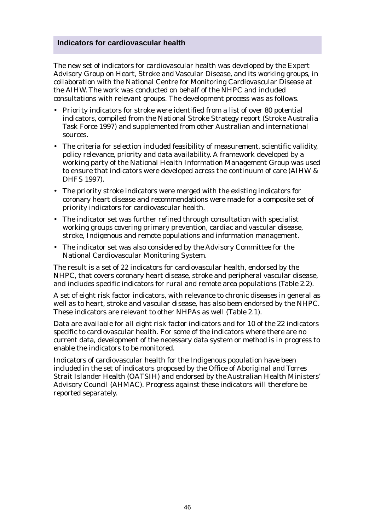#### **Indicators for cardiovascular health**

The new set of indicators for cardiovascular health was developed by the Expert Advisory Group on Heart, Stroke and Vascular Disease, and its working groups, in collaboration with the National Centre for Monitoring Cardiovascular Disease at the AIHW. The work was conducted on behalf of the NHPC and included consultations with relevant groups. The development process was as follows.

- Priority indicators for stroke were identified from a list of over 80 potential indicators, compiled from the National Stroke Strategy report (Stroke Australia Task Force 1997) and supplemented from other Australian and international sources.
- The criteria for selection included feasibility of measurement, scientific validity, policy relevance, priority and data availability. A framework developed by a working party of the National Health Information Management Group was used to ensure that indicators were developed across the continuum of care (AIHW & DHFS 1997).
- The priority stroke indicators were merged with the existing indicators for coronary heart disease and recommendations were made for a composite set of priority indicators for cardiovascular health.
- The indicator set was further refined through consultation with specialist working groups covering primary prevention, cardiac and vascular disease, stroke, Indigenous and remote populations and information management.
- The indicator set was also considered by the Advisory Committee for the National Cardiovascular Monitoring System.

The result is a set of 22 indicators for cardiovascular health, endorsed by the NHPC, that covers coronary heart disease, stroke and peripheral vascular disease, and includes specific indicators for rural and remote area populations (Table 2.2).

A set of eight risk factor indicators, with relevance to chronic diseases in general as well as to heart, stroke and vascular disease, has also been endorsed by the NHPC. These indicators are relevant to other NHPAs as well (Table 2.1).

Data are available for all eight risk factor indicators and for 10 of the 22 indicators specific to cardiovascular health. For some of the indicators where there are no current data, development of the necessary data system or method is in progress to enable the indicators to be monitored.

Indicators of cardiovascular health for the Indigenous population have been included in the set of indicators proposed by the Office of Aboriginal and Torres Strait Islander Health (OATSIH) and endorsed by the Australian Health Ministers' Advisory Council (AHMAC). Progress against these indicators will therefore be reported separately.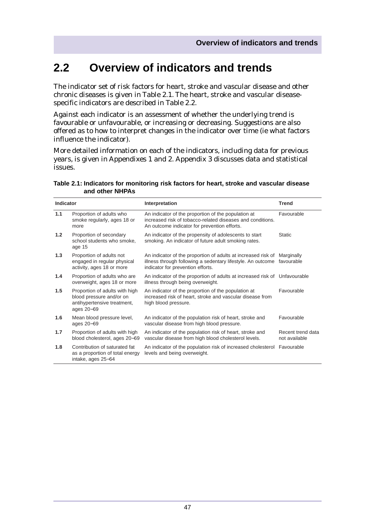# **2.2 Overview of indicators and trends**

The indicator set of risk factors for heart, stroke and vascular disease and other chronic diseases is given in Table 2.1. The heart, stroke and vascular diseasespecific indicators are described in Table 2.2.

Against each indicator is an assessment of whether the underlying trend is favourable or unfavourable, or increasing or decreasing. Suggestions are also offered as to how to interpret changes in the indicator over time (ie what factors influence the indicator).

More detailed information on each of the indicators, including data for previous years, is given in Appendixes 1 and 2. Appendix 3 discusses data and statistical issues.

| Indicator |                                                                                                         | Interpretation                                                                                                                                                                          | <b>Trend</b>                       |
|-----------|---------------------------------------------------------------------------------------------------------|-----------------------------------------------------------------------------------------------------------------------------------------------------------------------------------------|------------------------------------|
| 1.1       | Proportion of adults who<br>smoke regularly, ages 18 or<br>more                                         | An indicator of the proportion of the population at<br>increased risk of tobacco-related diseases and conditions.<br>An outcome indicator for prevention efforts.                       | Favourable                         |
| 1.2       | Proportion of secondary<br>school students who smoke,<br>age 15                                         | An indicator of the propensity of adolescents to start<br>smoking. An indicator of future adult smoking rates.                                                                          | <b>Static</b>                      |
| 1.3       | Proportion of adults not<br>engaged in regular physical<br>activity, ages 18 or more                    | An indicator of the proportion of adults at increased risk of Marginally<br>illness through following a sedentary lifestyle. An outcome favourable<br>indicator for prevention efforts. |                                    |
| 1.4       | Proportion of adults who are<br>overweight, ages 18 or more                                             | An indicator of the proportion of adults at increased risk of Unfavourable<br>illness through being overweight.                                                                         |                                    |
| 1.5       | Proportion of adults with high<br>blood pressure and/or on<br>antihypertensive treatment,<br>ages 20-69 | An indicator of the proportion of the population at<br>increased risk of heart, stroke and vascular disease from<br>high blood pressure.                                                | Favourable                         |
| 1.6       | Mean blood pressure level,<br>ages 20-69                                                                | An indicator of the population risk of heart, stroke and<br>vascular disease from high blood pressure.                                                                                  | Favourable                         |
| 1.7       | Proportion of adults with high<br>blood cholesterol, ages 20-69                                         | An indicator of the population risk of heart, stroke and<br>vascular disease from high blood cholesterol levels.                                                                        | Recent trend data<br>not available |
| 1.8       | Contribution of saturated fat<br>as a proportion of total energy<br>intake, ages 25-64                  | An indicator of the population risk of increased cholesterol<br>levels and being overweight.                                                                                            | Favourable                         |

**Table 2.1: Indicators for monitoring risk factors for heart, stroke and vascular disease and other NHPAs**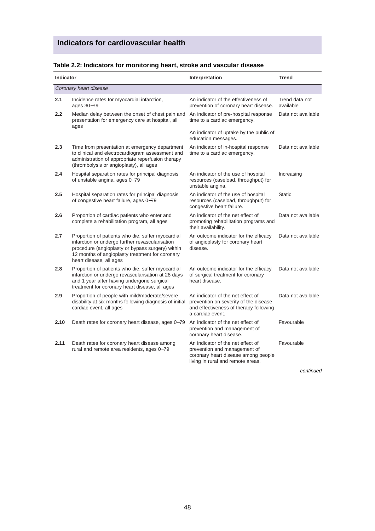## **Indicators for cardiovascular health**

| Indicator              |                                                                                                                                                                                                                                        | Interpretation                                                                                                                                | <b>Trend</b>                |  |
|------------------------|----------------------------------------------------------------------------------------------------------------------------------------------------------------------------------------------------------------------------------------|-----------------------------------------------------------------------------------------------------------------------------------------------|-----------------------------|--|
| Coronary heart disease |                                                                                                                                                                                                                                        |                                                                                                                                               |                             |  |
| 2.1                    | Incidence rates for myocardial infarction,<br>ages 30-79                                                                                                                                                                               | An indicator of the effectiveness of<br>prevention of coronary heart disease.                                                                 | Trend data not<br>available |  |
| 2.2                    | Median delay between the onset of chest pain and<br>presentation for emergency care at hospital, all<br>ages                                                                                                                           | An indicator of pre-hospital response<br>time to a cardiac emergency.                                                                         | Data not available          |  |
|                        |                                                                                                                                                                                                                                        | An indicator of uptake by the public of<br>education messages.                                                                                |                             |  |
| 2.3                    | Time from presentation at emergency department<br>to clinical and electrocardiogram assessment and<br>administration of appropriate reperfusion therapy<br>(thrombolysis or angioplasty), all ages                                     | An indicator of in-hospital response<br>time to a cardiac emergency.                                                                          | Data not available          |  |
| 2.4                    | Hospital separation rates for principal diagnosis<br>of unstable angina, ages 0-79                                                                                                                                                     | An indicator of the use of hospital<br>resources (caseload, throughput) for<br>unstable angina.                                               | Increasing                  |  |
| 2.5                    | Hospital separation rates for principal diagnosis<br>of congestive heart failure, ages 0-79                                                                                                                                            | An indicator of the use of hospital<br>resources (caseload, throughput) for<br>congestive heart failure.                                      | <b>Static</b>               |  |
| 2.6                    | Proportion of cardiac patients who enter and<br>complete a rehabilitation program, all ages                                                                                                                                            | An indicator of the net effect of<br>promoting rehabilitation programs and<br>their availability.                                             | Data not available          |  |
| 2.7                    | Proportion of patients who die, suffer myocardial<br>infarction or undergo further revascularisation<br>procedure (angioplasty or bypass surgery) within<br>12 months of angioplasty treatment for coronary<br>heart disease, all ages | An outcome indicator for the efficacy<br>of angioplasty for coronary heart<br>disease.                                                        | Data not available          |  |
| 2.8                    | Proportion of patients who die, suffer myocardial<br>infarction or undergo revascularisation at 28 days<br>and 1 year after having undergone surgical<br>treatment for coronary heart disease, all ages                                | An outcome indicator for the efficacy<br>of surgical treatment for coronary<br>heart disease.                                                 | Data not available          |  |
| 2.9                    | Proportion of people with mild/moderate/severe<br>disability at six months following diagnosis of initial<br>cardiac event, all ages                                                                                                   | An indicator of the net effect of<br>prevention on severity of the disease<br>and effectiveness of therapy following<br>a cardiac event.      | Data not available          |  |
| 2.10                   | Death rates for coronary heart disease, ages 0–79                                                                                                                                                                                      | An indicator of the net effect of<br>prevention and management of<br>coronary heart disease.                                                  | Favourable                  |  |
| 2.11                   | Death rates for coronary heart disease among<br>rural and remote area residents, ages 0-79                                                                                                                                             | An indicator of the net effect of<br>prevention and management of<br>coronary heart disease among people<br>living in rural and remote areas. | Favourable                  |  |

continued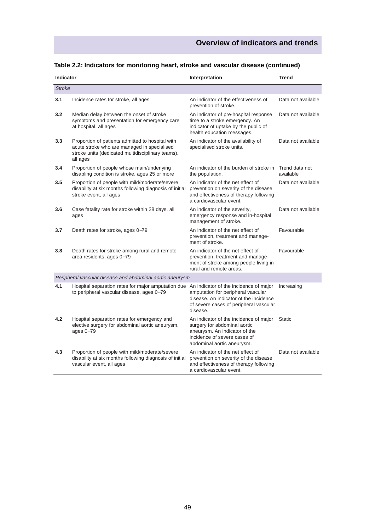# **Overview of indicators and trends**

| <b>Indicator</b>                                          |                                                                                                                                                                  | Interpretation                                                                                                                                                        | <b>Trend</b>                |  |
|-----------------------------------------------------------|------------------------------------------------------------------------------------------------------------------------------------------------------------------|-----------------------------------------------------------------------------------------------------------------------------------------------------------------------|-----------------------------|--|
| <b>Stroke</b>                                             |                                                                                                                                                                  |                                                                                                                                                                       |                             |  |
| 3.1                                                       | Incidence rates for stroke, all ages                                                                                                                             | An indicator of the effectiveness of<br>prevention of stroke.                                                                                                         | Data not available          |  |
| 3.2                                                       | Median delay between the onset of stroke<br>symptoms and presentation for emergency care<br>at hospital, all ages                                                | An indicator of pre-hospital response<br>time to a stroke emergency. An<br>indicator of uptake by the public of<br>health education messages.                         | Data not available          |  |
| 3.3                                                       | Proportion of patients admitted to hospital with<br>acute stroke who are managed in specialised<br>stroke units (dedicated multidisciplinary teams),<br>all ages | An indicator of the availability of<br>specialised stroke units.                                                                                                      | Data not available          |  |
| 3.4                                                       | Proportion of people whose main/underlying<br>disabling condition is stroke, ages 25 or more                                                                     | An indicator of the burden of stroke in<br>the population.                                                                                                            | Trend data not<br>available |  |
| 3.5                                                       | Proportion of people with mild/moderate/severe<br>disability at six months following diagnosis of initial<br>stroke event, all ages                              | An indicator of the net effect of<br>prevention on severity of the disease<br>and effectiveness of therapy following<br>a cardiovascular event.                       | Data not available          |  |
| 3.6                                                       | Case fatality rate for stroke within 28 days, all<br>ages                                                                                                        | An indicator of the severity,<br>emergency response and in-hospital<br>management of stroke.                                                                          | Data not available          |  |
| 3.7                                                       | Death rates for stroke, ages 0–79                                                                                                                                | An indicator of the net effect of<br>prevention, treatment and manage-<br>ment of stroke.                                                                             | Favourable                  |  |
| 3.8                                                       | Death rates for stroke among rural and remote<br>area residents, ages 0-79                                                                                       | An indicator of the net effect of<br>prevention, treatment and manage-<br>ment of stroke among people living in<br>rural and remote areas.                            | Favourable                  |  |
| Peripheral vascular disease and abdominal aortic aneurysm |                                                                                                                                                                  |                                                                                                                                                                       |                             |  |
| 4.1                                                       | Hospital separation rates for major amputation due An indicator of the incidence of major<br>to peripheral vascular disease, ages 0-79                           | amputation for peripheral vascular<br>disease. An indicator of the incidence<br>of severe cases of peripheral vascular<br>disease.                                    | Increasing                  |  |
| 4.2                                                       | Hospital separation rates for emergency and<br>elective surgery for abdominal aortic aneurysm,<br>ages 0-79                                                      | An indicator of the incidence of major<br>surgery for abdominal aortic<br>aneurysm. An indicator of the<br>incidence of severe cases of<br>abdominal aortic aneurysm. | <b>Static</b>               |  |
| 4.3                                                       | Proportion of people with mild/moderate/severe<br>disability at six months following diagnosis of initial<br>vascular event, all ages                            | An indicator of the net effect of<br>prevention on severity of the disease<br>and effectiveness of therapy following<br>a cardiovascular event.                       | Data not available          |  |

### **Table 2.2: Indicators for monitoring heart, stroke and vascular disease (continued)**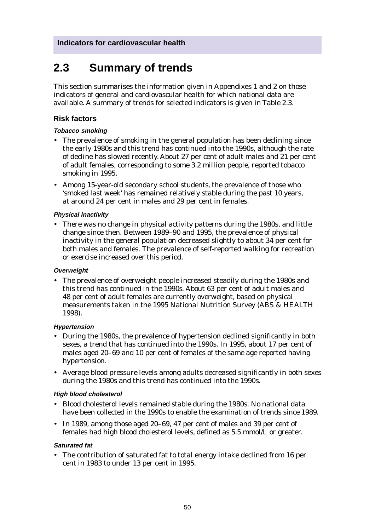# **2.3 Summary of trends**

This section summarises the information given in Appendixes 1 and 2 on those indicators of general and cardiovascular health for which national data are available. A summary of trends for selected indicators is given in Table 2.3.

### **Risk factors**

#### **Tobacco smoking**

- The prevalence of smoking in the general population has been declining since the early 1980s and this trend has continued into the 1990s, although the rate of decline has slowed recently. About 27 per cent of adult males and 21 per cent of adult females, corresponding to some 3.2 million people, reported tobacco smoking in 1995.
- Among 15-year-old secondary school students, the prevalence of those who 'smoked last week' has remained relatively stable during the past 10 years, at around 24 per cent in males and 29 per cent in females.

#### **Physical inactivity**

• There was no change in physical activity patterns during the 1980s, and little change since then. Between 1989–90 and 1995, the prevalence of physical inactivity in the general population decreased slightly to about 34 per cent for both males and females. The prevalence of self-reported walking for recreation or exercise increased over this period.

#### **Overweight**

• The prevalence of overweight people increased steadily during the 1980s and this trend has continued in the 1990s. About 63 per cent of adult males and 48 per cent of adult females are currently overweight, based on physical measurements taken in the 1995 National Nutrition Survey (ABS & HEALTH 1998).

#### **Hypertension**

- During the 1980s, the prevalence of hypertension declined significantly in both sexes, a trend that has continued into the 1990s. In 1995, about 17 per cent of males aged 20–69 and 10 per cent of females of the same age reported having hypertension.
- Average blood pressure levels among adults decreased significantly in both sexes during the 1980s and this trend has continued into the 1990s.

#### **High blood cholesterol**

- Blood cholesterol levels remained stable during the 1980s. No national data have been collected in the 1990s to enable the examination of trends since 1989.
- In 1989, among those aged 20–69, 47 per cent of males and 39 per cent of females had high blood cholesterol levels, defined as 5.5 mmol/L or greater.

#### **Saturated fat**

• The contribution of saturated fat to total energy intake declined from 16 per cent in 1983 to under 13 per cent in 1995.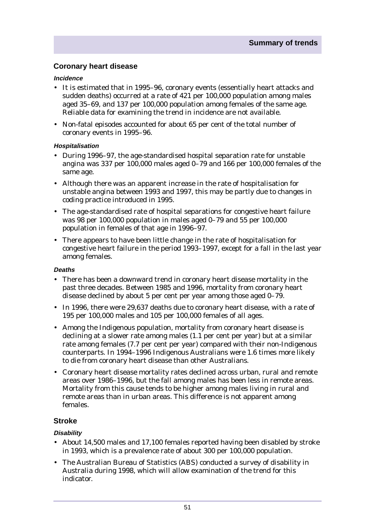### **Coronary heart disease**

#### **Incidence**

- It is estimated that in 1995–96, coronary events (essentially heart attacks and sudden deaths) occurred at a rate of 421 per 100,000 population among males aged 35–69, and 137 per 100,000 population among females of the same age. Reliable data for examining the trend in incidence are not available.
- Non-fatal episodes accounted for about 65 per cent of the total number of coronary events in 1995–96.

#### **Hospitalisation**

- During 1996–97, the age-standardised hospital separation rate for unstable angina was 337 per 100,000 males aged 0–79 and 166 per 100,000 females of the same age.
- Although there was an apparent increase in the rate of hospitalisation for unstable angina between 1993 and 1997, this may be partly due to changes in coding practice introduced in 1995.
- The age-standardised rate of hospital separations for congestive heart failure was 98 per 100,000 population in males aged 0–79 and 55 per 100,000 population in females of that age in 1996–97.
- There appears to have been little change in the rate of hospitalisation for congestive heart failure in the period 1993–1997, except for a fall in the last year among females.

#### **Deaths**

- There has been a downward trend in coronary heart disease mortality in the past three decades. Between 1985 and 1996, mortality from coronary heart disease declined by about 5 per cent per year among those aged 0–79.
- In 1996, there were 29,637 deaths due to coronary heart disease, with a rate of 195 per 100,000 males and 105 per 100,000 females of all ages.
- Among the Indigenous population, mortality from coronary heart disease is declining at a slower rate among males (1.1 per cent per year) but at a similar rate among females (7.7 per cent per year) compared with their non-Indigenous counterparts. In 1994–1996 Indigenous Australians were 1.6 times more likely to die from coronary heart disease than other Australians.
- Coronary heart disease mortality rates declined across urban, rural and remote areas over 1986–1996, but the fall among males has been less in remote areas. Mortality from this cause tends to be higher among males living in rural and remote areas than in urban areas. This difference is not apparent among females.

#### **Stroke**

#### **Disability**

- About 14,500 males and 17,100 females reported having been disabled by stroke in 1993, which is a prevalence rate of about 300 per 100,000 population.
- The Australian Bureau of Statistics (ABS) conducted a survey of disability in Australia during 1998, which will allow examination of the trend for this indicator.